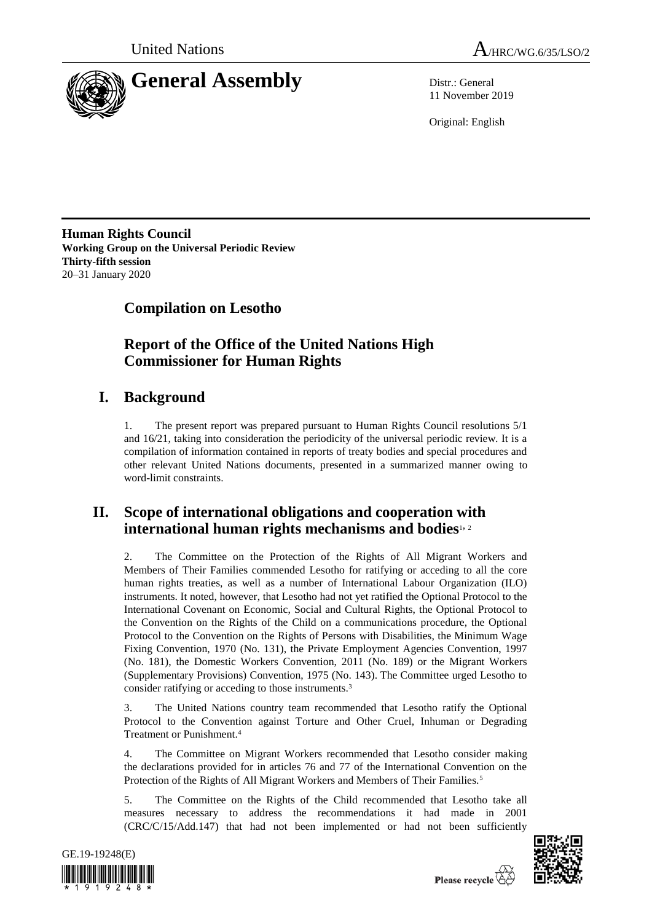



11 November 2019

Original: English

**Human Rights Council Working Group on the Universal Periodic Review Thirty-fifth session** 20–31 January 2020

**Compilation on Lesotho**

# **Report of the Office of the United Nations High Commissioner for Human Rights**

# **I. Background**

1. The present report was prepared pursuant to Human Rights Council resolutions 5/1 and 16/21, taking into consideration the periodicity of the universal periodic review. It is a compilation of information contained in reports of treaty bodies and special procedures and other relevant United Nations documents, presented in a summarized manner owing to word-limit constraints.

# **II. Scope of international obligations and cooperation with international human rights mechanisms and bodies**1, <sup>2</sup>

2. The Committee on the Protection of the Rights of All Migrant Workers and Members of Their Families commended Lesotho for ratifying or acceding to all the core human rights treaties, as well as a number of International Labour Organization (ILO) instruments. It noted, however, that Lesotho had not yet ratified the Optional Protocol to the International Covenant on Economic, Social and Cultural Rights, the Optional Protocol to the Convention on the Rights of the Child on a communications procedure, the Optional Protocol to the Convention on the Rights of Persons with Disabilities, the Minimum Wage Fixing Convention, 1970 (No. 131), the Private Employment Agencies Convention, 1997 (No. 181), the Domestic Workers Convention, 2011 (No. 189) or the Migrant Workers (Supplementary Provisions) Convention, 1975 (No. 143). The Committee urged Lesotho to consider ratifying or acceding to those instruments.<sup>3</sup>

3. The United Nations country team recommended that Lesotho ratify the Optional Protocol to the Convention against Torture and Other Cruel, Inhuman or Degrading Treatment or Punishment.<sup>4</sup>

4. The Committee on Migrant Workers recommended that Lesotho consider making the declarations provided for in articles 76 and 77 of the International Convention on the Protection of the Rights of All Migrant Workers and Members of Their Families.<sup>5</sup>

5. The Committee on the Rights of the Child recommended that Lesotho take all measures necessary to address the recommendations it had made in 2001 (CRC/C/15/Add.147) that had not been implemented or had not been sufficiently



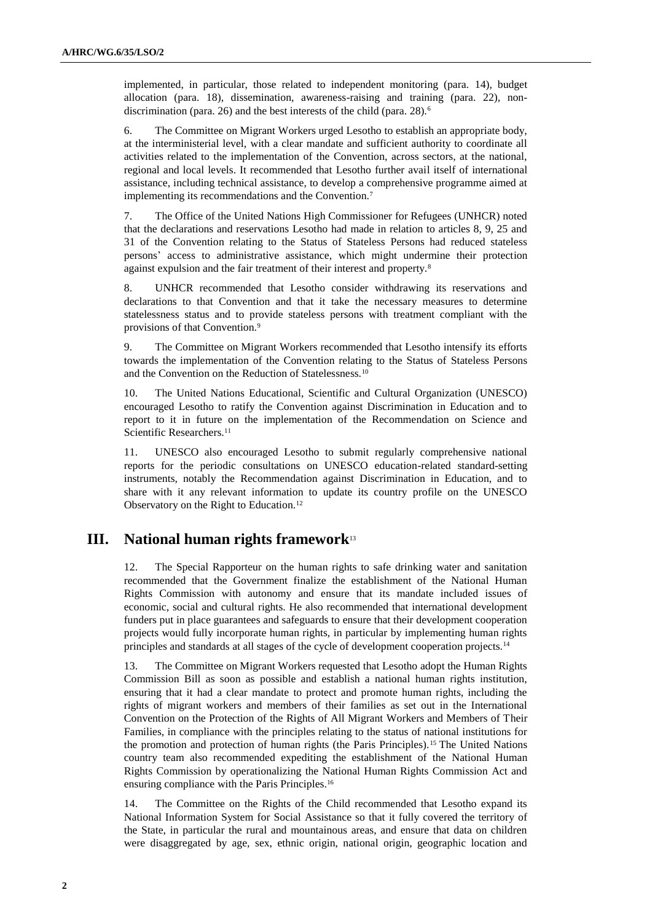implemented, in particular, those related to independent monitoring (para. 14), budget allocation (para. 18), dissemination, awareness-raising and training (para. 22), nondiscrimination (para. 26) and the best interests of the child (para. 28).<sup>6</sup>

6. The Committee on Migrant Workers urged Lesotho to establish an appropriate body, at the interministerial level, with a clear mandate and sufficient authority to coordinate all activities related to the implementation of the Convention, across sectors, at the national, regional and local levels. It recommended that Lesotho further avail itself of international assistance, including technical assistance, to develop a comprehensive programme aimed at implementing its recommendations and the Convention.<sup>7</sup>

7. The Office of the United Nations High Commissioner for Refugees (UNHCR) noted that the declarations and reservations Lesotho had made in relation to articles 8, 9, 25 and 31 of the Convention relating to the Status of Stateless Persons had reduced stateless persons' access to administrative assistance, which might undermine their protection against expulsion and the fair treatment of their interest and property.<sup>8</sup>

8. UNHCR recommended that Lesotho consider withdrawing its reservations and declarations to that Convention and that it take the necessary measures to determine statelessness status and to provide stateless persons with treatment compliant with the provisions of that Convention.<sup>9</sup>

9. The Committee on Migrant Workers recommended that Lesotho intensify its efforts towards the implementation of the Convention relating to the Status of Stateless Persons and the Convention on the Reduction of Statelessness.<sup>10</sup>

10. The United Nations Educational, Scientific and Cultural Organization (UNESCO) encouraged Lesotho to ratify the Convention against Discrimination in Education and to report to it in future on the implementation of the Recommendation on Science and Scientific Researchers.<sup>11</sup>

11. UNESCO also encouraged Lesotho to submit regularly comprehensive national reports for the periodic consultations on UNESCO education-related standard-setting instruments, notably the Recommendation against Discrimination in Education, and to share with it any relevant information to update its country profile on the UNESCO Observatory on the Right to Education.<sup>12</sup>

## **III. National human rights framework**<sup>13</sup>

12. The Special Rapporteur on the human rights to safe drinking water and sanitation recommended that the Government finalize the establishment of the National Human Rights Commission with autonomy and ensure that its mandate included issues of economic, social and cultural rights. He also recommended that international development funders put in place guarantees and safeguards to ensure that their development cooperation projects would fully incorporate human rights, in particular by implementing human rights principles and standards at all stages of the cycle of development cooperation projects.<sup>14</sup>

13. The Committee on Migrant Workers requested that Lesotho adopt the Human Rights Commission Bill as soon as possible and establish a national human rights institution, ensuring that it had a clear mandate to protect and promote human rights, including the rights of migrant workers and members of their families as set out in the International Convention on the Protection of the Rights of All Migrant Workers and Members of Their Families, in compliance with the principles relating to the status of national institutions for the promotion and protection of human rights (the Paris Principles).<sup>15</sup> The United Nations country team also recommended expediting the establishment of the National Human Rights Commission by operationalizing the National Human Rights Commission Act and ensuring compliance with the Paris Principles.<sup>16</sup>

14. The Committee on the Rights of the Child recommended that Lesotho expand its National Information System for Social Assistance so that it fully covered the territory of the State, in particular the rural and mountainous areas, and ensure that data on children were disaggregated by age, sex, ethnic origin, national origin, geographic location and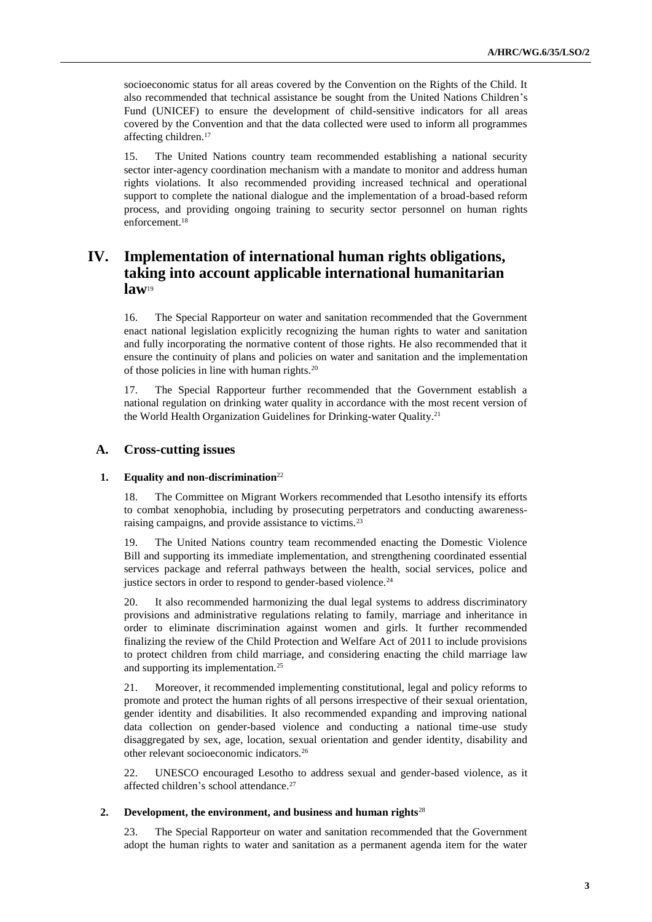socioeconomic status for all areas covered by the Convention on the Rights of the Child. It also recommended that technical assistance be sought from the United Nations Children's Fund (UNICEF) to ensure the development of child-sensitive indicators for all areas covered by the Convention and that the data collected were used to inform all programmes affecting children.<sup>17</sup>

15. The United Nations country team recommended establishing a national security sector inter-agency coordination mechanism with a mandate to monitor and address human rights violations. It also recommended providing increased technical and operational support to complete the national dialogue and the implementation of a broad-based reform process, and providing ongoing training to security sector personnel on human rights enforcement.<sup>18</sup>

## **IV. Implementation of international human rights obligations, taking into account applicable international humanitarian law**<sup>19</sup>

16. The Special Rapporteur on water and sanitation recommended that the Government enact national legislation explicitly recognizing the human rights to water and sanitation and fully incorporating the normative content of those rights. He also recommended that it ensure the continuity of plans and policies on water and sanitation and the implementation of those policies in line with human rights.<sup>20</sup>

17. The Special Rapporteur further recommended that the Government establish a national regulation on drinking water quality in accordance with the most recent version of the World Health Organization Guidelines for Drinking-water Quality.<sup>21</sup>

## **A. Cross-cutting issues**

## **1. Equality and non-discrimination**<sup>22</sup>

18. The Committee on Migrant Workers recommended that Lesotho intensify its efforts to combat xenophobia, including by prosecuting perpetrators and conducting awarenessraising campaigns, and provide assistance to victims.<sup>23</sup>

19. The United Nations country team recommended enacting the Domestic Violence Bill and supporting its immediate implementation, and strengthening coordinated essential services package and referral pathways between the health, social services, police and justice sectors in order to respond to gender-based violence.<sup>24</sup>

20. It also recommended harmonizing the dual legal systems to address discriminatory provisions and administrative regulations relating to family, marriage and inheritance in order to eliminate discrimination against women and girls. It further recommended finalizing the review of the Child Protection and Welfare Act of 2011 to include provisions to protect children from child marriage, and considering enacting the child marriage law and supporting its implementation.<sup>25</sup>

21. Moreover, it recommended implementing constitutional, legal and policy reforms to promote and protect the human rights of all persons irrespective of their sexual orientation, gender identity and disabilities. It also recommended expanding and improving national data collection on gender-based violence and conducting a national time-use study disaggregated by sex, age, location, sexual orientation and gender identity, disability and other relevant socioeconomic indicators.<sup>26</sup>

22. UNESCO encouraged Lesotho to address sexual and gender-based violence, as it affected children's school attendance.<sup>27</sup>

#### **2. Development, the environment, and business and human rights**<sup>28</sup>

23. The Special Rapporteur on water and sanitation recommended that the Government adopt the human rights to water and sanitation as a permanent agenda item for the water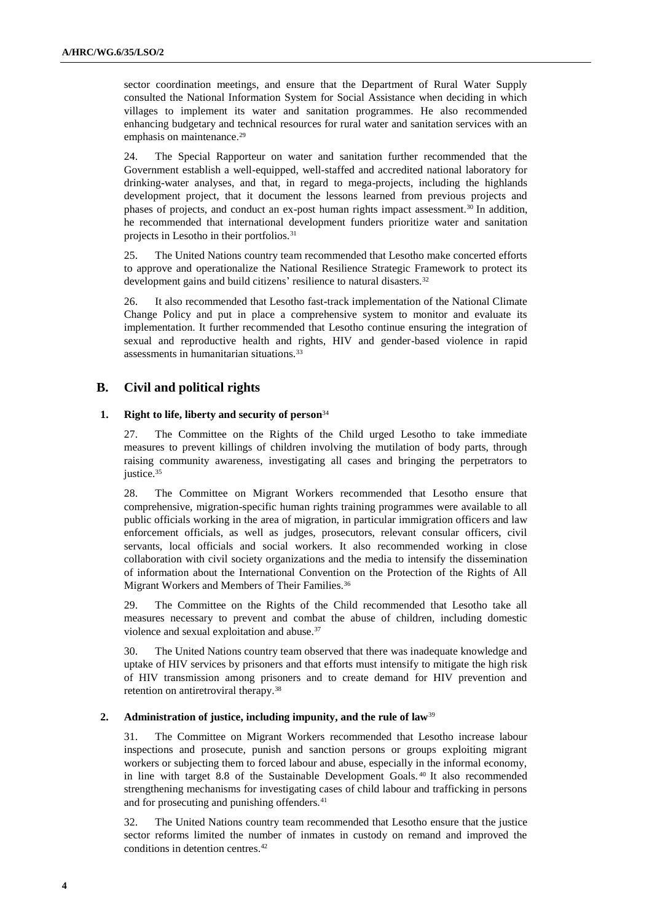sector coordination meetings, and ensure that the Department of Rural Water Supply consulted the National Information System for Social Assistance when deciding in which villages to implement its water and sanitation programmes. He also recommended enhancing budgetary and technical resources for rural water and sanitation services with an emphasis on maintenance.<sup>29</sup>

24. The Special Rapporteur on water and sanitation further recommended that the Government establish a well-equipped, well-staffed and accredited national laboratory for drinking-water analyses, and that, in regard to mega-projects, including the highlands development project, that it document the lessons learned from previous projects and phases of projects, and conduct an ex-post human rights impact assessment.<sup>30</sup> In addition, he recommended that international development funders prioritize water and sanitation projects in Lesotho in their portfolios.<sup>31</sup>

25. The United Nations country team recommended that Lesotho make concerted efforts to approve and operationalize the National Resilience Strategic Framework to protect its development gains and build citizens' resilience to natural disasters.<sup>32</sup>

26. It also recommended that Lesotho fast-track implementation of the National Climate Change Policy and put in place a comprehensive system to monitor and evaluate its implementation. It further recommended that Lesotho continue ensuring the integration of sexual and reproductive health and rights, HIV and gender-based violence in rapid assessments in humanitarian situations.<sup>33</sup>

## **B. Civil and political rights**

## **1. Right to life, liberty and security of person**<sup>34</sup>

27. The Committee on the Rights of the Child urged Lesotho to take immediate measures to prevent killings of children involving the mutilation of body parts, through raising community awareness, investigating all cases and bringing the perpetrators to justice.<sup>35</sup>

28. The Committee on Migrant Workers recommended that Lesotho ensure that comprehensive, migration-specific human rights training programmes were available to all public officials working in the area of migration, in particular immigration officers and law enforcement officials, as well as judges, prosecutors, relevant consular officers, civil servants, local officials and social workers. It also recommended working in close collaboration with civil society organizations and the media to intensify the dissemination of information about the International Convention on the Protection of the Rights of All Migrant Workers and Members of Their Families.<sup>36</sup>

29. The Committee on the Rights of the Child recommended that Lesotho take all measures necessary to prevent and combat the abuse of children, including domestic violence and sexual exploitation and abuse.<sup>37</sup>

30. The United Nations country team observed that there was inadequate knowledge and uptake of HIV services by prisoners and that efforts must intensify to mitigate the high risk of HIV transmission among prisoners and to create demand for HIV prevention and retention on antiretroviral therapy.<sup>38</sup>

## **2. Administration of justice, including impunity, and the rule of law**<sup>39</sup>

31. The Committee on Migrant Workers recommended that Lesotho increase labour inspections and prosecute, punish and sanction persons or groups exploiting migrant workers or subjecting them to forced labour and abuse, especially in the informal economy, in line with target 8.8 of the Sustainable Development Goals. <sup>40</sup> It also recommended strengthening mechanisms for investigating cases of child labour and trafficking in persons and for prosecuting and punishing offenders.<sup>41</sup>

32. The United Nations country team recommended that Lesotho ensure that the justice sector reforms limited the number of inmates in custody on remand and improved the conditions in detention centres.42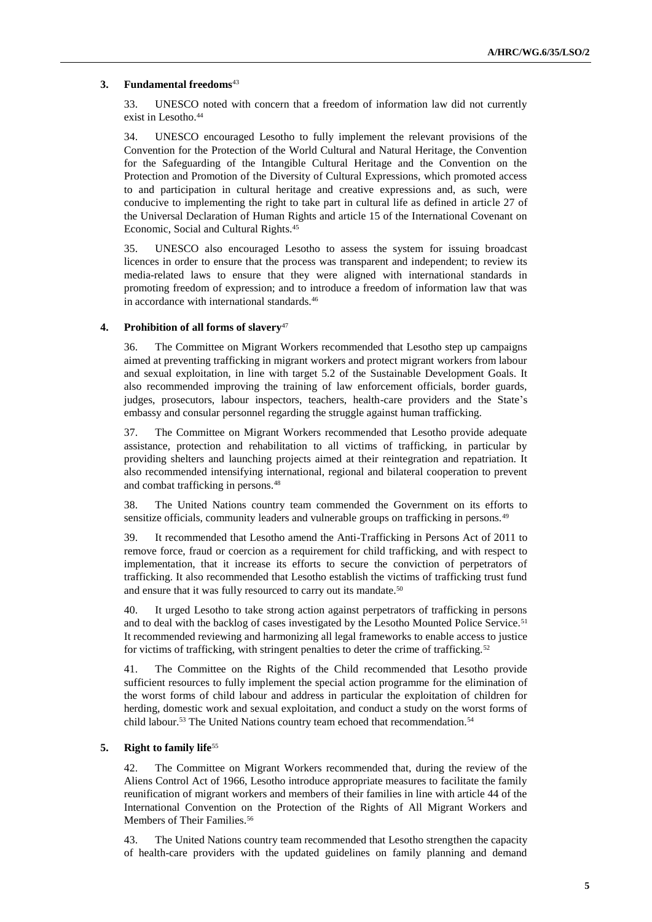## **3. Fundamental freedoms**<sup>43</sup>

33. UNESCO noted with concern that a freedom of information law did not currently exist in Lesotho.<sup>44</sup>

34. UNESCO encouraged Lesotho to fully implement the relevant provisions of the Convention for the Protection of the World Cultural and Natural Heritage, the Convention for the Safeguarding of the Intangible Cultural Heritage and the Convention on the Protection and Promotion of the Diversity of Cultural Expressions, which promoted access to and participation in cultural heritage and creative expressions and, as such, were conducive to implementing the right to take part in cultural life as defined in article 27 of the Universal Declaration of Human Rights and article 15 of the International Covenant on Economic, Social and Cultural Rights.<sup>45</sup>

35. UNESCO also encouraged Lesotho to assess the system for issuing broadcast licences in order to ensure that the process was transparent and independent; to review its media-related laws to ensure that they were aligned with international standards in promoting freedom of expression; and to introduce a freedom of information law that was in accordance with international standards.<sup>46</sup>

### **4. Prohibition of all forms of slavery**<sup>47</sup>

36. The Committee on Migrant Workers recommended that Lesotho step up campaigns aimed at preventing trafficking in migrant workers and protect migrant workers from labour and sexual exploitation, in line with target 5.2 of the Sustainable Development Goals. It also recommended improving the training of law enforcement officials, border guards, judges, prosecutors, labour inspectors, teachers, health-care providers and the State's embassy and consular personnel regarding the struggle against human trafficking.

37. The Committee on Migrant Workers recommended that Lesotho provide adequate assistance, protection and rehabilitation to all victims of trafficking, in particular by providing shelters and launching projects aimed at their reintegration and repatriation. It also recommended intensifying international, regional and bilateral cooperation to prevent and combat trafficking in persons.<sup>48</sup>

38. The United Nations country team commended the Government on its efforts to sensitize officials, community leaders and vulnerable groups on trafficking in persons.<sup>49</sup>

39. It recommended that Lesotho amend the Anti-Trafficking in Persons Act of 2011 to remove force, fraud or coercion as a requirement for child trafficking, and with respect to implementation, that it increase its efforts to secure the conviction of perpetrators of trafficking. It also recommended that Lesotho establish the victims of trafficking trust fund and ensure that it was fully resourced to carry out its mandate.<sup>50</sup>

40. It urged Lesotho to take strong action against perpetrators of trafficking in persons and to deal with the backlog of cases investigated by the Lesotho Mounted Police Service.<sup>51</sup> It recommended reviewing and harmonizing all legal frameworks to enable access to justice for victims of trafficking, with stringent penalties to deter the crime of trafficking.<sup>52</sup>

41. The Committee on the Rights of the Child recommended that Lesotho provide sufficient resources to fully implement the special action programme for the elimination of the worst forms of child labour and address in particular the exploitation of children for herding, domestic work and sexual exploitation, and conduct a study on the worst forms of child labour.<sup>53</sup> The United Nations country team echoed that recommendation.<sup>54</sup>

## **5. Right to family life**<sup>55</sup>

42. The Committee on Migrant Workers recommended that, during the review of the Aliens Control Act of 1966, Lesotho introduce appropriate measures to facilitate the family reunification of migrant workers and members of their families in line with article 44 of the International Convention on the Protection of the Rights of All Migrant Workers and Members of Their Families.<sup>56</sup>

43. The United Nations country team recommended that Lesotho strengthen the capacity of health-care providers with the updated guidelines on family planning and demand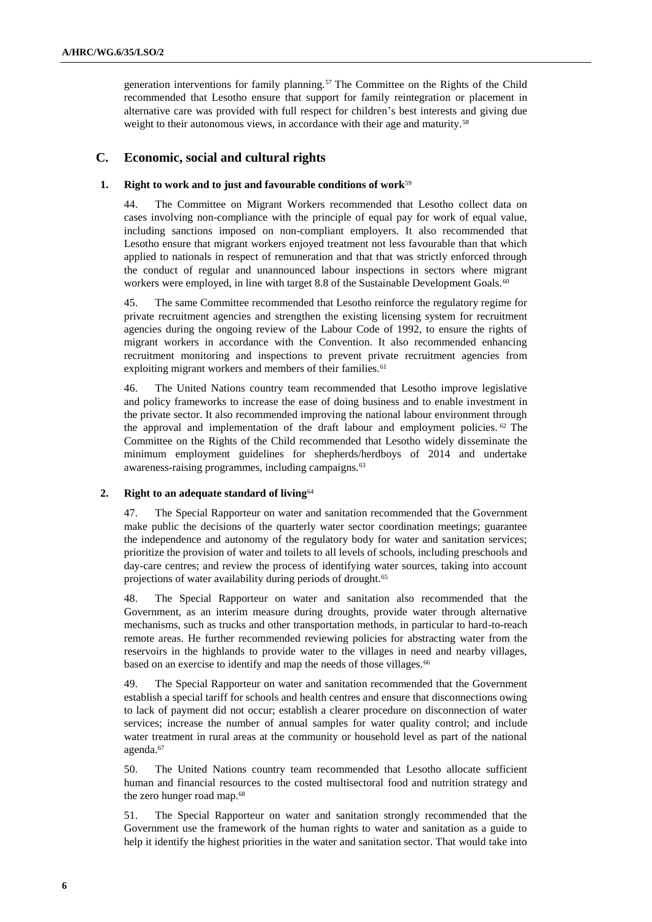generation interventions for family planning.<sup>57</sup> The Committee on the Rights of the Child recommended that Lesotho ensure that support for family reintegration or placement in alternative care was provided with full respect for children's best interests and giving due weight to their autonomous views, in accordance with their age and maturity.<sup>58</sup>

## **C. Economic, social and cultural rights**

## **1. Right to work and to just and favourable conditions of work**<sup>59</sup>

44. The Committee on Migrant Workers recommended that Lesotho collect data on cases involving non-compliance with the principle of equal pay for work of equal value, including sanctions imposed on non-compliant employers. It also recommended that Lesotho ensure that migrant workers enjoyed treatment not less favourable than that which applied to nationals in respect of remuneration and that that was strictly enforced through the conduct of regular and unannounced labour inspections in sectors where migrant workers were employed, in line with target 8.8 of the Sustainable Development Goals.<sup>60</sup>

45. The same Committee recommended that Lesotho reinforce the regulatory regime for private recruitment agencies and strengthen the existing licensing system for recruitment agencies during the ongoing review of the Labour Code of 1992, to ensure the rights of migrant workers in accordance with the Convention. It also recommended enhancing recruitment monitoring and inspections to prevent private recruitment agencies from exploiting migrant workers and members of their families.<sup>61</sup>

46. The United Nations country team recommended that Lesotho improve legislative and policy frameworks to increase the ease of doing business and to enable investment in the private sector. It also recommended improving the national labour environment through the approval and implementation of the draft labour and employment policies. <sup>62</sup> The Committee on the Rights of the Child recommended that Lesotho widely disseminate the minimum employment guidelines for shepherds/herdboys of 2014 and undertake awareness-raising programmes, including campaigns.<sup>63</sup>

### **2. Right to an adequate standard of living**<sup>64</sup>

47. The Special Rapporteur on water and sanitation recommended that the Government make public the decisions of the quarterly water sector coordination meetings; guarantee the independence and autonomy of the regulatory body for water and sanitation services; prioritize the provision of water and toilets to all levels of schools, including preschools and day-care centres; and review the process of identifying water sources, taking into account projections of water availability during periods of drought.<sup>65</sup>

48. The Special Rapporteur on water and sanitation also recommended that the Government, as an interim measure during droughts, provide water through alternative mechanisms, such as trucks and other transportation methods, in particular to hard-to-reach remote areas. He further recommended reviewing policies for abstracting water from the reservoirs in the highlands to provide water to the villages in need and nearby villages, based on an exercise to identify and map the needs of those villages.<sup>66</sup>

49. The Special Rapporteur on water and sanitation recommended that the Government establish a special tariff for schools and health centres and ensure that disconnections owing to lack of payment did not occur; establish a clearer procedure on disconnection of water services; increase the number of annual samples for water quality control; and include water treatment in rural areas at the community or household level as part of the national agenda.<sup>67</sup>

50. The United Nations country team recommended that Lesotho allocate sufficient human and financial resources to the costed multisectoral food and nutrition strategy and the zero hunger road map.<sup>68</sup>

51. The Special Rapporteur on water and sanitation strongly recommended that the Government use the framework of the human rights to water and sanitation as a guide to help it identify the highest priorities in the water and sanitation sector. That would take into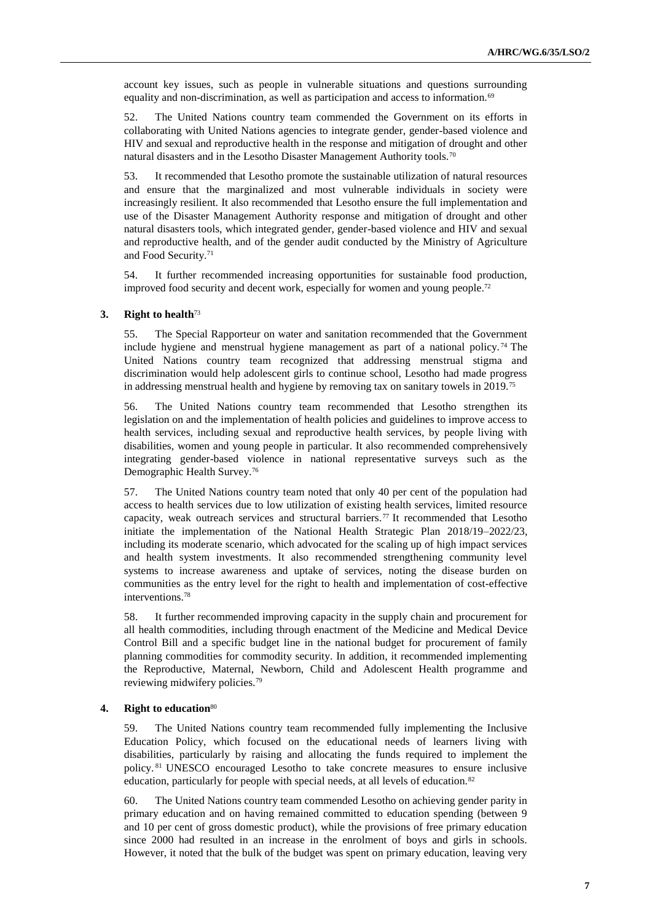account key issues, such as people in vulnerable situations and questions surrounding equality and non-discrimination, as well as participation and access to information.<sup>69</sup>

52. The United Nations country team commended the Government on its efforts in collaborating with United Nations agencies to integrate gender, gender-based violence and HIV and sexual and reproductive health in the response and mitigation of drought and other natural disasters and in the Lesotho Disaster Management Authority tools.<sup>70</sup>

53. It recommended that Lesotho promote the sustainable utilization of natural resources and ensure that the marginalized and most vulnerable individuals in society were increasingly resilient. It also recommended that Lesotho ensure the full implementation and use of the Disaster Management Authority response and mitigation of drought and other natural disasters tools, which integrated gender, gender-based violence and HIV and sexual and reproductive health, and of the gender audit conducted by the Ministry of Agriculture and Food Security.<sup>71</sup>

54. It further recommended increasing opportunities for sustainable food production, improved food security and decent work, especially for women and young people.<sup>72</sup>

#### **3. Right to health**<sup>73</sup>

55. The Special Rapporteur on water and sanitation recommended that the Government include hygiene and menstrual hygiene management as part of a national policy.<sup>74</sup> The United Nations country team recognized that addressing menstrual stigma and discrimination would help adolescent girls to continue school, Lesotho had made progress in addressing menstrual health and hygiene by removing tax on sanitary towels in 2019.<sup>75</sup>

56. The United Nations country team recommended that Lesotho strengthen its legislation on and the implementation of health policies and guidelines to improve access to health services, including sexual and reproductive health services, by people living with disabilities, women and young people in particular. It also recommended comprehensively integrating gender-based violence in national representative surveys such as the Demographic Health Survey.<sup>76</sup>

57. The United Nations country team noted that only 40 per cent of the population had access to health services due to low utilization of existing health services, limited resource capacity, weak outreach services and structural barriers.<sup>77</sup> It recommended that Lesotho initiate the implementation of the National Health Strategic Plan 2018/19–2022/23, including its moderate scenario, which advocated for the scaling up of high impact services and health system investments. It also recommended strengthening community level systems to increase awareness and uptake of services, noting the disease burden on communities as the entry level for the right to health and implementation of cost-effective interventions.<sup>78</sup>

58. It further recommended improving capacity in the supply chain and procurement for all health commodities, including through enactment of the Medicine and Medical Device Control Bill and a specific budget line in the national budget for procurement of family planning commodities for commodity security. In addition, it recommended implementing the Reproductive, Maternal, Newborn, Child and Adolescent Health programme and reviewing midwifery policies.<sup>79</sup>

#### **4. Right to education**<sup>80</sup>

59. The United Nations country team recommended fully implementing the Inclusive Education Policy, which focused on the educational needs of learners living with disabilities, particularly by raising and allocating the funds required to implement the policy. <sup>81</sup> UNESCO encouraged Lesotho to take concrete measures to ensure inclusive education, particularly for people with special needs, at all levels of education.<sup>82</sup>

60. The United Nations country team commended Lesotho on achieving gender parity in primary education and on having remained committed to education spending (between 9 and 10 per cent of gross domestic product), while the provisions of free primary education since 2000 had resulted in an increase in the enrolment of boys and girls in schools. However, it noted that the bulk of the budget was spent on primary education, leaving very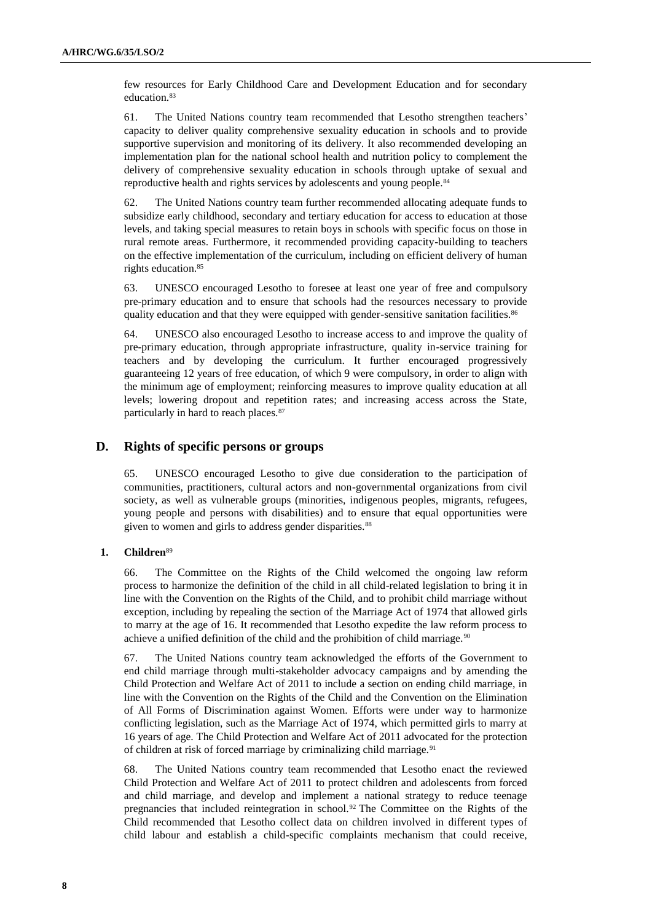few resources for Early Childhood Care and Development Education and for secondary education.<sup>83</sup>

61. The United Nations country team recommended that Lesotho strengthen teachers' capacity to deliver quality comprehensive sexuality education in schools and to provide supportive supervision and monitoring of its delivery. It also recommended developing an implementation plan for the national school health and nutrition policy to complement the delivery of comprehensive sexuality education in schools through uptake of sexual and reproductive health and rights services by adolescents and young people.<sup>84</sup>

62. The United Nations country team further recommended allocating adequate funds to subsidize early childhood, secondary and tertiary education for access to education at those levels, and taking special measures to retain boys in schools with specific focus on those in rural remote areas. Furthermore, it recommended providing capacity-building to teachers on the effective implementation of the curriculum, including on efficient delivery of human rights education.<sup>85</sup>

63. UNESCO encouraged Lesotho to foresee at least one year of free and compulsory pre-primary education and to ensure that schools had the resources necessary to provide quality education and that they were equipped with gender-sensitive sanitation facilities.<sup>86</sup>

64. UNESCO also encouraged Lesotho to increase access to and improve the quality of pre-primary education, through appropriate infrastructure, quality in-service training for teachers and by developing the curriculum. It further encouraged progressively guaranteeing 12 years of free education, of which 9 were compulsory, in order to align with the minimum age of employment; reinforcing measures to improve quality education at all levels; lowering dropout and repetition rates; and increasing access across the State, particularly in hard to reach places.<sup>87</sup>

## **D. Rights of specific persons or groups**

65. UNESCO encouraged Lesotho to give due consideration to the participation of communities, practitioners, cultural actors and non-governmental organizations from civil society, as well as vulnerable groups (minorities, indigenous peoples, migrants, refugees, young people and persons with disabilities) and to ensure that equal opportunities were given to women and girls to address gender disparities.<sup>88</sup>

## **1. Children**<sup>89</sup>

66. The Committee on the Rights of the Child welcomed the ongoing law reform process to harmonize the definition of the child in all child-related legislation to bring it in line with the Convention on the Rights of the Child, and to prohibit child marriage without exception, including by repealing the section of the Marriage Act of 1974 that allowed girls to marry at the age of 16. It recommended that Lesotho expedite the law reform process to achieve a unified definition of the child and the prohibition of child marriage.<sup>90</sup>

67. The United Nations country team acknowledged the efforts of the Government to end child marriage through multi-stakeholder advocacy campaigns and by amending the Child Protection and Welfare Act of 2011 to include a section on ending child marriage, in line with the Convention on the Rights of the Child and the Convention on the Elimination of All Forms of Discrimination against Women. Efforts were under way to harmonize conflicting legislation, such as the Marriage Act of 1974, which permitted girls to marry at 16 years of age. The Child Protection and Welfare Act of 2011 advocated for the protection of children at risk of forced marriage by criminalizing child marriage.<sup>91</sup>

68. The United Nations country team recommended that Lesotho enact the reviewed Child Protection and Welfare Act of 2011 to protect children and adolescents from forced and child marriage, and develop and implement a national strategy to reduce teenage pregnancies that included reintegration in school.<sup>92</sup> The Committee on the Rights of the Child recommended that Lesotho collect data on children involved in different types of child labour and establish a child-specific complaints mechanism that could receive,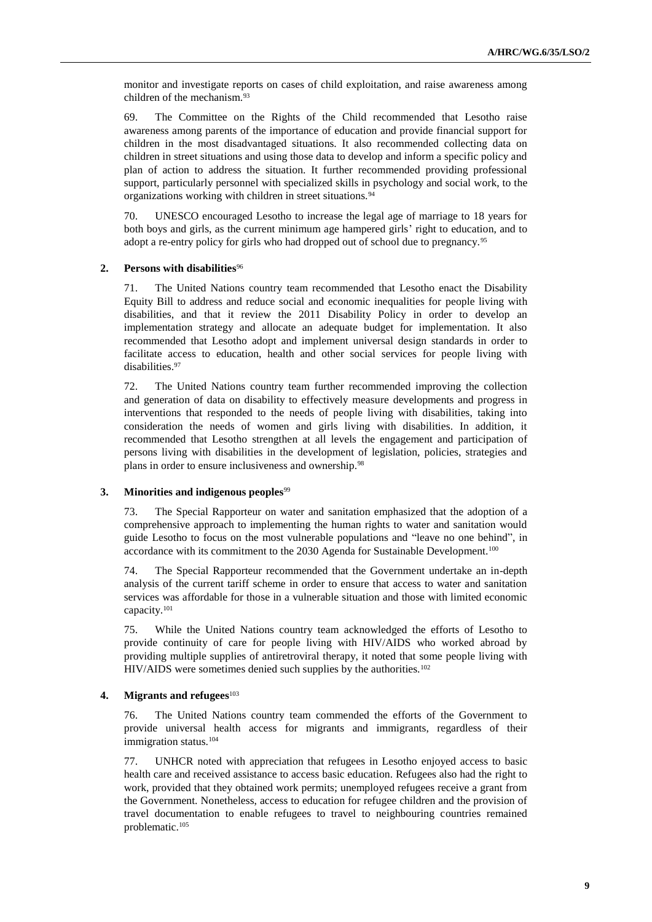monitor and investigate reports on cases of child exploitation, and raise awareness among children of the mechanism.<sup>93</sup>

69. The Committee on the Rights of the Child recommended that Lesotho raise awareness among parents of the importance of education and provide financial support for children in the most disadvantaged situations. It also recommended collecting data on children in street situations and using those data to develop and inform a specific policy and plan of action to address the situation. It further recommended providing professional support, particularly personnel with specialized skills in psychology and social work, to the organizations working with children in street situations.<sup>94</sup>

70. UNESCO encouraged Lesotho to increase the legal age of marriage to 18 years for both boys and girls, as the current minimum age hampered girls' right to education, and to adopt a re-entry policy for girls who had dropped out of school due to pregnancy.<sup>95</sup>

## **2. Persons with disabilities**<sup>96</sup>

71. The United Nations country team recommended that Lesotho enact the Disability Equity Bill to address and reduce social and economic inequalities for people living with disabilities, and that it review the 2011 Disability Policy in order to develop an implementation strategy and allocate an adequate budget for implementation. It also recommended that Lesotho adopt and implement universal design standards in order to facilitate access to education, health and other social services for people living with disabilities.<sup>97</sup>

72. The United Nations country team further recommended improving the collection and generation of data on disability to effectively measure developments and progress in interventions that responded to the needs of people living with disabilities, taking into consideration the needs of women and girls living with disabilities. In addition, it recommended that Lesotho strengthen at all levels the engagement and participation of persons living with disabilities in the development of legislation, policies, strategies and plans in order to ensure inclusiveness and ownership.<sup>98</sup>

### **3. Minorities and indigenous peoples**<sup>99</sup>

73. The Special Rapporteur on water and sanitation emphasized that the adoption of a comprehensive approach to implementing the human rights to water and sanitation would guide Lesotho to focus on the most vulnerable populations and "leave no one behind", in accordance with its commitment to the 2030 Agenda for Sustainable Development.<sup>100</sup>

74. The Special Rapporteur recommended that the Government undertake an in-depth analysis of the current tariff scheme in order to ensure that access to water and sanitation services was affordable for those in a vulnerable situation and those with limited economic capacity.<sup>101</sup>

75. While the United Nations country team acknowledged the efforts of Lesotho to provide continuity of care for people living with HIV/AIDS who worked abroad by providing multiple supplies of antiretroviral therapy, it noted that some people living with HIV/AIDS were sometimes denied such supplies by the authorities.<sup>102</sup>

## **4. Migrants and refugees**<sup>103</sup>

76. The United Nations country team commended the efforts of the Government to provide universal health access for migrants and immigrants, regardless of their immigration status.<sup>104</sup>

77. UNHCR noted with appreciation that refugees in Lesotho enjoyed access to basic health care and received assistance to access basic education. Refugees also had the right to work, provided that they obtained work permits; unemployed refugees receive a grant from the Government. Nonetheless, access to education for refugee children and the provision of travel documentation to enable refugees to travel to neighbouring countries remained problematic.105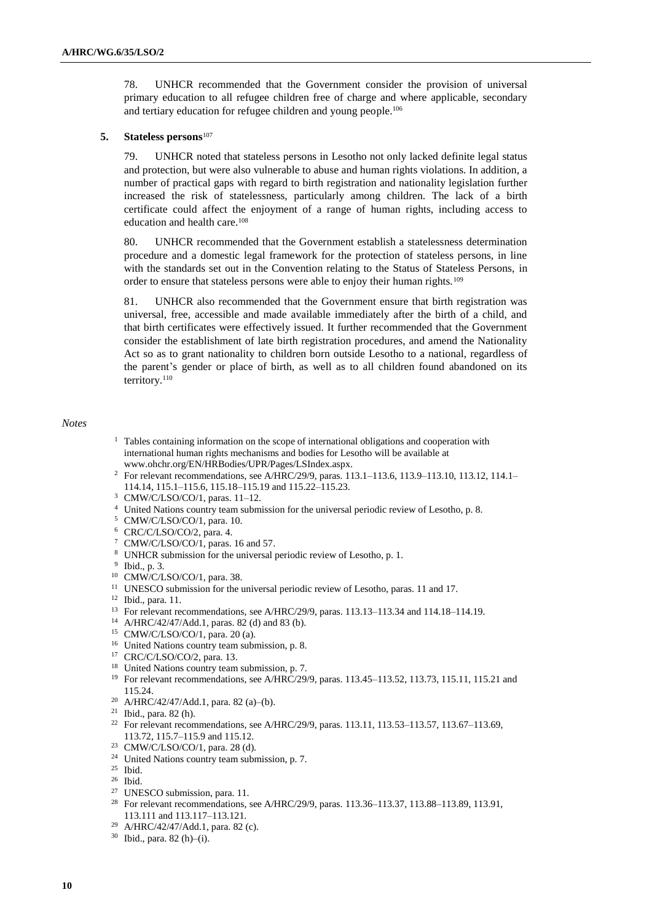78. UNHCR recommended that the Government consider the provision of universal primary education to all refugee children free of charge and where applicable, secondary and tertiary education for refugee children and young people.<sup>106</sup>

## **5. Stateless persons**<sup>107</sup>

79. UNHCR noted that stateless persons in Lesotho not only lacked definite legal status and protection, but were also vulnerable to abuse and human rights violations. In addition, a number of practical gaps with regard to birth registration and nationality legislation further increased the risk of statelessness, particularly among children. The lack of a birth certificate could affect the enjoyment of a range of human rights, including access to education and health care.<sup>108</sup>

80. UNHCR recommended that the Government establish a statelessness determination procedure and a domestic legal framework for the protection of stateless persons, in line with the standards set out in the Convention relating to the Status of Stateless Persons, in order to ensure that stateless persons were able to enjoy their human rights.<sup>109</sup>

81. UNHCR also recommended that the Government ensure that birth registration was universal, free, accessible and made available immediately after the birth of a child, and that birth certificates were effectively issued. It further recommended that the Government consider the establishment of late birth registration procedures, and amend the Nationality Act so as to grant nationality to children born outside Lesotho to a national, regardless of the parent's gender or place of birth, as well as to all children found abandoned on its territory.<sup>110</sup>

### *Notes*

- <sup>1</sup> Tables containing information on the scope of international obligations and cooperation with international human rights mechanisms and bodies for Lesotho will be available at [www.ohchr.org/EN/HRBodies/UPR/Pages/LSIndex.aspx.](file:///C:/Users/Mohadjer/AppData/Local/Microsoft/Windows/INetCache/Content.Outlook/GN6J710B/www.ohchr.org/EN/HRBodies/UPR/Pages/LSIndex.aspx)
- <sup>2</sup> For relevant recommendations, see A/HRC/29/9, paras. 113.1–113.6, 113.9–113.10, 113.12, 114.1– 114.14, 115.1–115.6, 115.18–115.19 and 115.22–115.23.
- <sup>3</sup> CMW/C/LSO/CO/1, paras. 11–12.
- <sup>4</sup> United Nations country team submission for the universal periodic review of Lesotho, p. 8.
- <sup>5</sup> CMW/C/LSO/CO/1, para. 10.
- <sup>6</sup> CRC/C/LSO/CO/2, para. 4.
- <sup>7</sup> CMW/C/LSO/CO/1, paras. 16 and 57.
- <sup>8</sup> UNHCR submission for the universal periodic review of Lesotho, p. 1.
- 9 Ibid., p. 3.
- <sup>10</sup> CMW/C/LSO/CO/1, para. 38.
- <sup>11</sup> UNESCO submission for the universal periodic review of Lesotho, paras. 11 and 17.
- <sup>12</sup> Ibid., para. 11.
- <sup>13</sup> For relevant recommendations, see A/HRC/29/9, paras. 113.13–113.34 and 114.18–114.19.
- <sup>14</sup> A/HRC/42/47/Add.1, paras. 82 (d) and 83 (b).
- <sup>15</sup> CMW/C/LSO/CO/1, para. 20 (a).
- <sup>16</sup> United Nations country team submission, p. 8.
- <sup>17</sup> CRC/C/LSO/CO/2, para. 13.
- <sup>18</sup> United Nations country team submission, p. 7.
- <sup>19</sup> For relevant recommendations, see A/HRC/29/9, paras. 113.45-113.52, 113.73, 115.11, 115.21 and 115.24.
- <sup>20</sup> A/HRC/42/47/Add.1, para. 82 (a)–(b).
- <sup>21</sup> Ibid., para. 82 (h).
- <sup>22</sup> For relevant recommendations, see A/HRC/29/9, paras. 113.11, 113.53-113.57, 113.67-113.69, 113.72, 115.7–115.9 and 115.12.
- <sup>23</sup> CMW/C/LSO/CO/1, para. 28 (d).
- <sup>24</sup> United Nations country team submission, p. 7.
- <sup>25</sup> Ibid.
- <sup>26</sup> Ibid.
- <sup>27</sup> UNESCO submission, para. 11.
- <sup>28</sup> For relevant recommendations, see A/HRC/29/9, paras. 113.36-113.37, 113.88-113.89, 113.91, 113.111 and 113.117–113.121.
- <sup>29</sup> A/HRC/42/47/Add.1, para. 82 (c).
- <sup>30</sup> Ibid., para. 82 (h)–(i).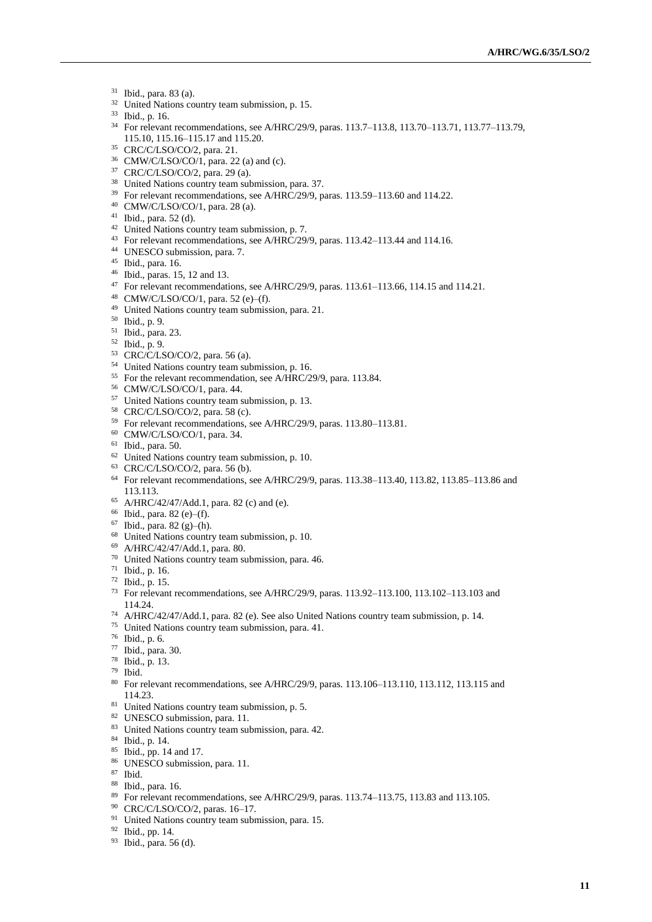- Ibid., para. 83 (a).
- United Nations country team submission, p. 15.
- Ibid., p. 16.
- <sup>34</sup> For relevant recommendations, see A/HRC/29/9, paras. 113.7–113.8, 113.70–113.71, 113.77–113.79, 115.10, 115.16–115.17 and 115.20.
- CRC/C/LSO/CO/2, para. 21.
- CMW/C/LSO/CO/1, para. 22 (a) and (c).
- CRC/C/LSO/CO/2, para. 29 (a).
- United Nations country team submission, para. 37.
- <sup>39</sup> For relevant recommendations, see A/HRC/29/9, paras. 113.59–113.60 and 114.22.
- CMW/C/LSO/CO/1, para. 28 (a).
- Ibid., para. 52 (d).
- United Nations country team submission, p. 7.
- For relevant recommendations, see A/HRC/29/9, paras. 113.42–113.44 and 114.16.
- UNESCO submission, para. 7.
- Ibid., para. 16.
- Ibid., paras. 15, 12 and 13.
- For relevant recommendations, see A/HRC/29/9, paras. 113.61–113.66, 114.15 and 114.21.
- CMW/C/LSO/CO/1, para. 52 (e)–(f).
- United Nations country team submission, para. 21.
- Ibid., p. 9.
- Ibid., para. 23.
- Ibid., p. 9.
- CRC/C/LSO/CO/2, para. 56 (a).
- United Nations country team submission, p. 16.
- For the relevant recommendation, see A/HRC/29/9, para. 113.84.
- CMW/C/LSO/CO/1, para. 44.
- United Nations country team submission, p. 13.
- CRC/C/LSO/CO/2, para. 58 (c).
- For relevant recommendations, see A/HRC/29/9, paras. 113.80–113.81.
- CMW/C/LSO/CO/1, para. 34.
- Ibid., para. 50.
- United Nations country team submission, p. 10.
- CRC/C/LSO/CO/2, para. 56 (b).
- For relevant recommendations, see A/HRC/29/9, paras. 113.38–113.40, 113.82, 113.85–113.86 and 113.113.
- A/HRC/42/47/Add.1, para. 82 (c) and (e).
- Ibid., para. 82 (e)–(f).
- Ibid., para. 82 (g)–(h).
- United Nations country team submission, p. 10.
- A/HRC/42/47/Add.1, para. 80.
- United Nations country team submission, para. 46.
- Ibid., p. 16.
- Ibid., p. 15.
- For relevant recommendations, see A/HRC/29/9, paras. 113.92–113.100, 113.102–113.103 and 114.24.
- A/HRC/42/47/Add.1, para. 82 (e). See also United Nations country team submission, p. 14.
- United Nations country team submission, para. 41.
- Ibid., p. 6.
- Ibid., para. 30.
- Ibid., p. 13.
- Ibid.
- For relevant recommendations, see A/HRC/29/9, paras. 113.106–113.110, 113.112, 113.115 and 114.23.
- <sup>81</sup> United Nations country team submission, p. 5.
- UNESCO submission, para. 11.
- United Nations country team submission, para. 42.
- Ibid., p. 14.
- Ibid., pp. 14 and 17.
- 86 UNESCO submission, para. 11.
- Ibid.
- Ibid., para. 16.
- For relevant recommendations, see A/HRC/29/9, paras. 113.74–113.75, 113.83 and 113.105.
- CRC/C/LSO/CO/2, paras. 16–17.
- <sup>91</sup> United Nations country team submission, para. 15.
- Ibid., pp. 14.
- Ibid., para. 56 (d).